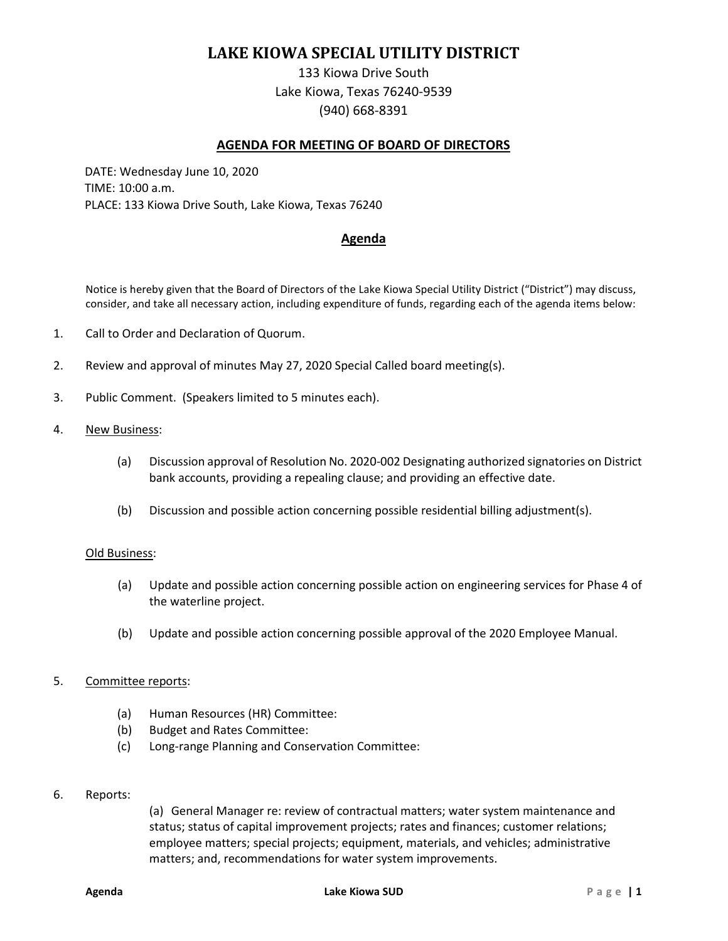# **LAKE KIOWA SPECIAL UTILITY DISTRICT**

133 Kiowa Drive South Lake Kiowa, Texas 76240-9539 (940) 668-8391

## **AGENDA FOR MEETING OF BOARD OF DIRECTORS**

DATE: Wednesday June 10, 2020 TIME: 10:00 a.m. PLACE: 133 Kiowa Drive South, Lake Kiowa, Texas 76240

# **Agenda**

Notice is hereby given that the Board of Directors of the Lake Kiowa Special Utility District ("District") may discuss, consider, and take all necessary action, including expenditure of funds, regarding each of the agenda items below:

- 1. Call to Order and Declaration of Quorum.
- 2. Review and approval of minutes May 27, 2020 Special Called board meeting(s).
- 3. Public Comment. (Speakers limited to 5 minutes each).
- 4. New Business:
	- (a) Discussion approval of Resolution No. 2020-002 Designating authorized signatories on District bank accounts, providing a repealing clause; and providing an effective date.
	- (b) Discussion and possible action concerning possible residential billing adjustment(s).

#### Old Business:

- (a) Update and possible action concerning possible action on engineering services for Phase 4 of the waterline project.
- (b) Update and possible action concerning possible approval of the 2020 Employee Manual.

### 5. Committee reports:

- (a) Human Resources (HR) Committee:
- (b) Budget and Rates Committee:
- (c) Long-range Planning and Conservation Committee:
- 6. Reports:

(a) General Manager re: review of contractual matters; water system maintenance and status; status of capital improvement projects; rates and finances; customer relations; employee matters; special projects; equipment, materials, and vehicles; administrative matters; and, recommendations for water system improvements.